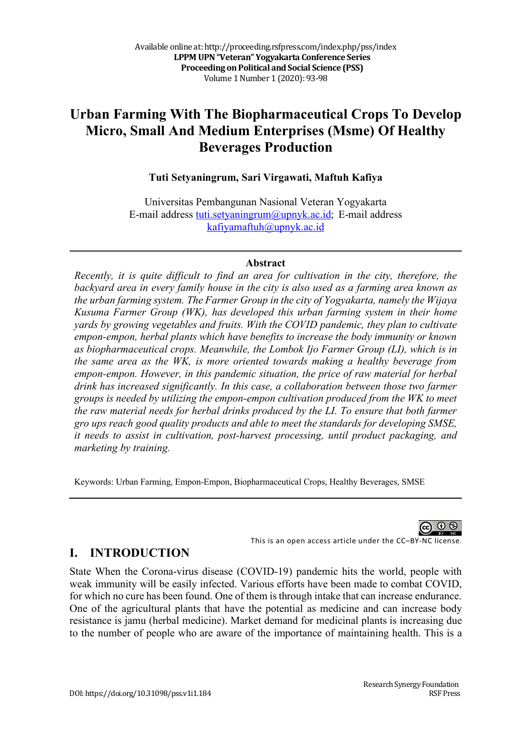# **Urban Farming With The Biopharmaceutical Crops To Develop Micro, Small And Medium Enterprises (Msme) Of Healthy Beverages Production**

#### **Tuti Setyaningrum, Sari Virgawati, Maftuh Kafiya**

Universitas Pembangunan Nasional Veteran Yogyakarta E-mail address tuti.setyaningrum@upnyk.ac.id; E-mail address kafiyamaftuh@upnyk.ac.id

#### **Abstract**

*Recently, it is quite difficult to find an area for cultivation in the city, therefore, the backyard area in every family house in the city is also used as a farming area known as the urban farming system. The Farmer Group in the city of Yogyakarta, namely the Wijaya Kusuma Farmer Group (WK), has developed this urban farming system in their home yards by growing vegetables and fruits. With the COVID pandemic, they plan to cultivate empon-empon, herbal plants which have benefits to increase the body immunity or known as biopharmaceutical crops. Meanwhile, the Lombok Ijo Farmer Group (LI), which is in the same area as the WK, is more oriented towards making a healthy beverage from empon-empon. However, in this pandemic situation, the price of raw material for herbal drink has increased significantly. In this case, a collaboration between those two farmer groups is needed by utilizing the empon-empon cultivation produced from the WK to meet the raw material needs for herbal drinks produced by the LI. To ensure that both farmer gro ups reach good quality products and able to meet the standards for developing SMSE, it needs to assist in cultivation, post-harvest processing, until product packaging, and marketing by training.* 

Keywords: Urban Farming, Empon-Empon, Biopharmaceutical Crops, Healthy Beverages, SMSE

ൈറ This is an open access article under the CC–BY-NC license.

#### **I. INTRODUCTION**

State When the Corona-virus disease (COVID-19) pandemic hits the world, people with weak immunity will be easily infected. Various efforts have been made to combat COVID, for which no cure has been found. One of them is through intake that can increase endurance. One of the agricultural plants that have the potential as medicine and can increase body resistance is jamu (herbal medicine). Market demand for medicinal plants is increasing due to the number of people who are aware of the importance of maintaining health. This is a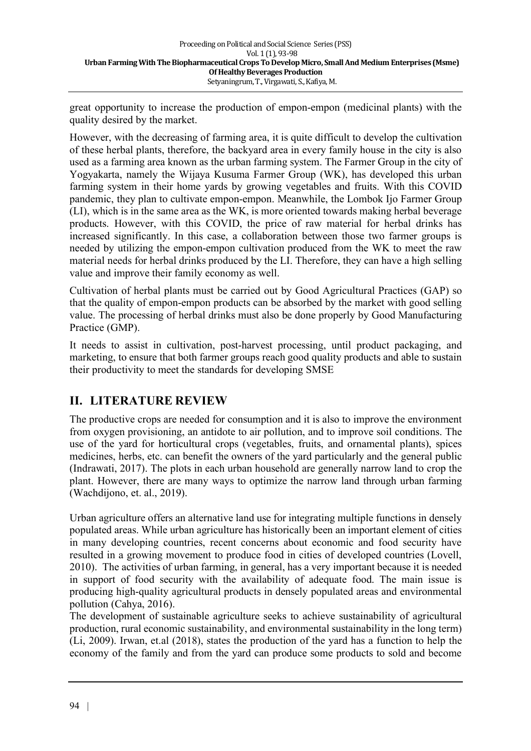great opportunity to increase the production of empon-empon (medicinal plants) with the quality desired by the market.

However, with the decreasing of farming area, it is quite difficult to develop the cultivation of these herbal plants, therefore, the backyard area in every family house in the city is also used as a farming area known as the urban farming system. The Farmer Group in the city of Yogyakarta, namely the Wijaya Kusuma Farmer Group (WK), has developed this urban farming system in their home yards by growing vegetables and fruits. With this COVID pandemic, they plan to cultivate empon-empon. Meanwhile, the Lombok Ijo Farmer Group (LI), which is in the same area as the WK, is more oriented towards making herbal beverage products. However, with this COVID, the price of raw material for herbal drinks has increased significantly. In this case, a collaboration between those two farmer groups is needed by utilizing the empon-empon cultivation produced from the WK to meet the raw material needs for herbal drinks produced by the LI. Therefore, they can have a high selling value and improve their family economy as well.

Cultivation of herbal plants must be carried out by Good Agricultural Practices (GAP) so that the quality of empon-empon products can be absorbed by the market with good selling value. The processing of herbal drinks must also be done properly by Good Manufacturing Practice (GMP).

It needs to assist in cultivation, post-harvest processing, until product packaging, and marketing, to ensure that both farmer groups reach good quality products and able to sustain their productivity to meet the standards for developing SMSE

# **II. LITERATURE REVIEW**

The productive crops are needed for consumption and it is also to improve the environment from oxygen provisioning, an antidote to air pollution, and to improve soil conditions. The use of the yard for horticultural crops (vegetables, fruits, and ornamental plants), spices medicines, herbs, etc. can benefit the owners of the yard particularly and the general public (Indrawati, 2017). The plots in each urban household are generally narrow land to crop the plant. However, there are many ways to optimize the narrow land through urban farming (Wachdijono, et. al., 2019).

Urban agriculture offers an alternative land use for integrating multiple functions in densely populated areas. While urban agriculture has historically been an important element of cities in many developing countries, recent concerns about economic and food security have resulted in a growing movement to produce food in cities of developed countries (Lovell, 2010). The activities of urban farming, in general, has a very important because it is needed in support of food security with the availability of adequate food. The main issue is producing high-quality agricultural products in densely populated areas and environmental pollution (Cahya, 2016).

The development of sustainable agriculture seeks to achieve sustainability of agricultural production, rural economic sustainability, and environmental sustainability in the long term) (Li, 2009). Irwan, et.al (2018), states the production of the yard has a function to help the economy of the family and from the yard can produce some products to sold and become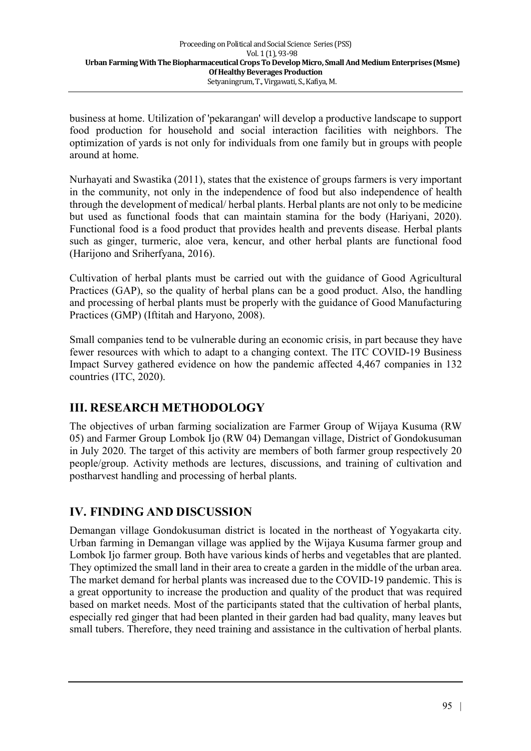business at home. Utilization of 'pekarangan' will develop a productive landscape to support food production for household and social interaction facilities with neighbors. The optimization of yards is not only for individuals from one family but in groups with people around at home.

Nurhayati and Swastika (2011), states that the existence of groups farmers is very important in the community, not only in the independence of food but also independence of health through the development of medical/ herbal plants. Herbal plants are not only to be medicine but used as functional foods that can maintain stamina for the body (Hariyani, 2020). Functional food is a food product that provides health and prevents disease. Herbal plants such as ginger, turmeric, aloe vera, kencur, and other herbal plants are functional food (Harijono and Sriherfyana, 2016).

Cultivation of herbal plants must be carried out with the guidance of Good Agricultural Practices (GAP), so the quality of herbal plans can be a good product. Also, the handling and processing of herbal plants must be properly with the guidance of Good Manufacturing Practices (GMP) (Iftitah and Haryono, 2008).

Small companies tend to be vulnerable during an economic crisis, in part because they have fewer resources with which to adapt to a changing context. The ITC COVID-19 Business Impact Survey gathered evidence on how the pandemic affected 4,467 companies in 132 countries (ITC, 2020).

#### **III. RESEARCH METHODOLOGY**

The objectives of urban farming socialization are Farmer Group of Wijaya Kusuma (RW 05) and Farmer Group Lombok Ijo (RW 04) Demangan village, District of Gondokusuman in July 2020. The target of this activity are members of both farmer group respectively 20 people/group. Activity methods are lectures, discussions, and training of cultivation and postharvest handling and processing of herbal plants.

# **IV. FINDING AND DISCUSSION**

Demangan village Gondokusuman district is located in the northeast of Yogyakarta city. Urban farming in Demangan village was applied by the Wijaya Kusuma farmer group and Lombok Ijo farmer group. Both have various kinds of herbs and vegetables that are planted. They optimized the small land in their area to create a garden in the middle of the urban area. The market demand for herbal plants was increased due to the COVID-19 pandemic. This is a great opportunity to increase the production and quality of the product that was required based on market needs. Most of the participants stated that the cultivation of herbal plants, especially red ginger that had been planted in their garden had bad quality, many leaves but small tubers. Therefore, they need training and assistance in the cultivation of herbal plants.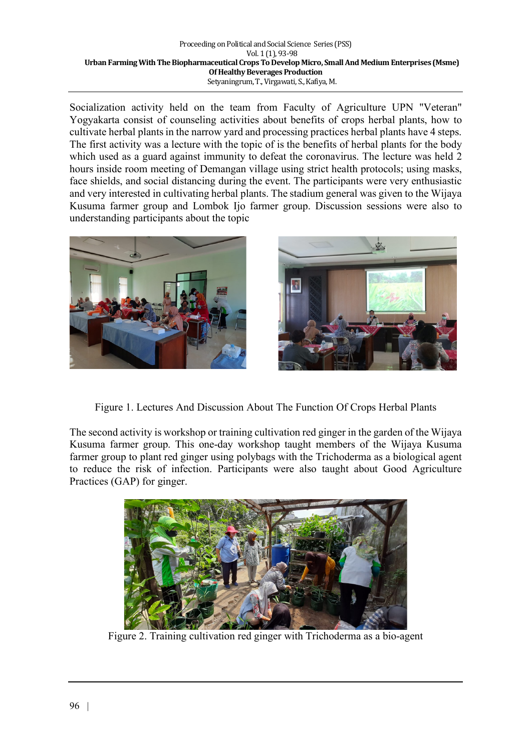Socialization activity held on the team from Faculty of Agriculture UPN "Veteran" Yogyakarta consist of counseling activities about benefits of crops herbal plants, how to cultivate herbal plants in the narrow yard and processing practices herbal plants have 4 steps. The first activity was a lecture with the topic of is the benefits of herbal plants for the body which used as a guard against immunity to defeat the coronavirus. The lecture was held 2 hours inside room meeting of Demangan village using strict health protocols; using masks, face shields, and social distancing during the event. The participants were very enthusiastic and very interested in cultivating herbal plants. The stadium general was given to the Wijaya Kusuma farmer group and Lombok Ijo farmer group. Discussion sessions were also to understanding participants about the topic





Figure 1. Lectures And Discussion About The Function Of Crops Herbal Plants

The second activity is workshop or training cultivation red ginger in the garden of the Wijaya Kusuma farmer group. This one-day workshop taught members of the Wijaya Kusuma farmer group to plant red ginger using polybags with the Trichoderma as a biological agent to reduce the risk of infection. Participants were also taught about Good Agriculture Practices (GAP) for ginger.



Figure 2. Training cultivation red ginger with Trichoderma as a bio-agent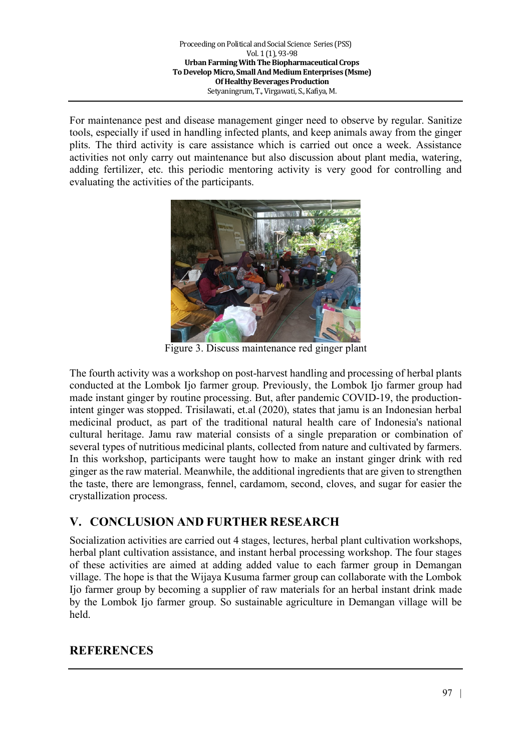For maintenance pest and disease management ginger need to observe by regular. Sanitize tools, especially if used in handling infected plants, and keep animals away from the ginger plits. The third activity is care assistance which is carried out once a week. Assistance activities not only carry out maintenance but also discussion about plant media, watering, adding fertilizer, etc. this periodic mentoring activity is very good for controlling and evaluating the activities of the participants.



Figure 3. Discuss maintenance red ginger plant

The fourth activity was a workshop on post-harvest handling and processing of herbal plants conducted at the Lombok Ijo farmer group. Previously, the Lombok Ijo farmer group had made instant ginger by routine processing. But, after pandemic COVID-19, the productionintent ginger was stopped. Trisilawati, et.al (2020), states that jamu is an Indonesian herbal medicinal product, as part of the traditional natural health care of Indonesia's national cultural heritage. Jamu raw material consists of a single preparation or combination of several types of nutritious medicinal plants, collected from nature and cultivated by farmers. In this workshop, participants were taught how to make an instant ginger drink with red ginger as the raw material. Meanwhile, the additional ingredients that are given to strengthen the taste, there are lemongrass, fennel, cardamom, second, cloves, and sugar for easier the crystallization process.

# **V. CONCLUSION AND FURTHER RESEARCH**

Socialization activities are carried out 4 stages, lectures, herbal plant cultivation workshops, herbal plant cultivation assistance, and instant herbal processing workshop. The four stages of these activities are aimed at adding added value to each farmer group in Demangan village. The hope is that the Wijaya Kusuma farmer group can collaborate with the Lombok Ijo farmer group by becoming a supplier of raw materials for an herbal instant drink made by the Lombok Ijo farmer group. So sustainable agriculture in Demangan village will be held.

#### **REFERENCES**